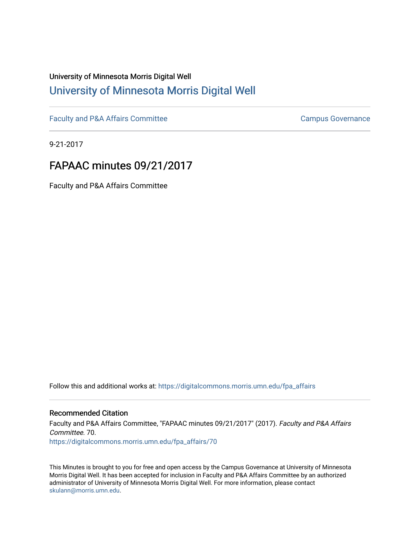## University of Minnesota Morris Digital Well [University of Minnesota Morris Digital Well](https://digitalcommons.morris.umn.edu/)

[Faculty and P&A Affairs Committee](https://digitalcommons.morris.umn.edu/fpa_affairs) [Campus Governance](https://digitalcommons.morris.umn.edu/campgov) Campus Governance

9-21-2017

# FAPAAC minutes 09/21/2017

Faculty and P&A Affairs Committee

Follow this and additional works at: [https://digitalcommons.morris.umn.edu/fpa\\_affairs](https://digitalcommons.morris.umn.edu/fpa_affairs?utm_source=digitalcommons.morris.umn.edu%2Ffpa_affairs%2F70&utm_medium=PDF&utm_campaign=PDFCoverPages)

### Recommended Citation

Faculty and P&A Affairs Committee, "FAPAAC minutes 09/21/2017" (2017). Faculty and P&A Affairs Committee. 70. [https://digitalcommons.morris.umn.edu/fpa\\_affairs/70](https://digitalcommons.morris.umn.edu/fpa_affairs/70?utm_source=digitalcommons.morris.umn.edu%2Ffpa_affairs%2F70&utm_medium=PDF&utm_campaign=PDFCoverPages) 

This Minutes is brought to you for free and open access by the Campus Governance at University of Minnesota Morris Digital Well. It has been accepted for inclusion in Faculty and P&A Affairs Committee by an authorized administrator of University of Minnesota Morris Digital Well. For more information, please contact [skulann@morris.umn.edu.](mailto:skulann@morris.umn.edu)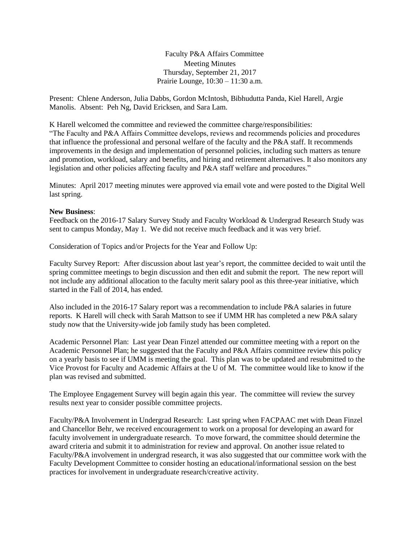Faculty P&A Affairs Committee Meeting Minutes Thursday, September 21, 2017 Prairie Lounge, 10:30 – 11:30 a.m.

Present: Chlene Anderson, Julia Dabbs, Gordon McIntosh, Bibhudutta Panda, Kiel Harell, Argie Manolis. Absent: Peh Ng, David Ericksen, and Sara Lam.

K Harell welcomed the committee and reviewed the committee charge/responsibilities: "The Faculty and P&A Affairs Committee develops, reviews and recommends policies and procedures that influence the professional and personal welfare of the faculty and the P&A staff. It recommends improvements in the design and implementation of personnel policies, including such matters as tenure and promotion, workload, salary and benefits, and hiring and retirement alternatives. It also monitors any legislation and other policies affecting faculty and P&A staff welfare and procedures."

Minutes: April 2017 meeting minutes were approved via email vote and were posted to the Digital Well last spring.

#### **New Business**:

Feedback on the 2016-17 Salary Survey Study and Faculty Workload & Undergrad Research Study was sent to campus Monday, May 1. We did not receive much feedback and it was very brief.

Consideration of Topics and/or Projects for the Year and Follow Up:

Faculty Survey Report: After discussion about last year's report, the committee decided to wait until the spring committee meetings to begin discussion and then edit and submit the report. The new report will not include any additional allocation to the faculty merit salary pool as this three-year initiative, which started in the Fall of 2014, has ended.

Also included in the 2016-17 Salary report was a recommendation to include P&A salaries in future reports. K Harell will check with Sarah Mattson to see if UMM HR has completed a new P&A salary study now that the University-wide job family study has been completed.

Academic Personnel Plan: Last year Dean Finzel attended our committee meeting with a report on the Academic Personnel Plan; he suggested that the Faculty and P&A Affairs committee review this policy on a yearly basis to see if UMM is meeting the goal. This plan was to be updated and resubmitted to the Vice Provost for Faculty and Academic Affairs at the U of M. The committee would like to know if the plan was revised and submitted.

The Employee Engagement Survey will begin again this year. The committee will review the survey results next year to consider possible committee projects.

Faculty/P&A Involvement in Undergrad Research: Last spring when FACPAAC met with Dean Finzel and Chancellor Behr, we received encouragement to work on a proposal for developing an award for faculty involvement in undergraduate research. To move forward, the committee should determine the award criteria and submit it to administration for review and approval. On another issue related to Faculty/P&A involvement in undergrad research, it was also suggested that our committee work with the Faculty Development Committee to consider hosting an educational/informational session on the best practices for involvement in undergraduate research/creative activity.